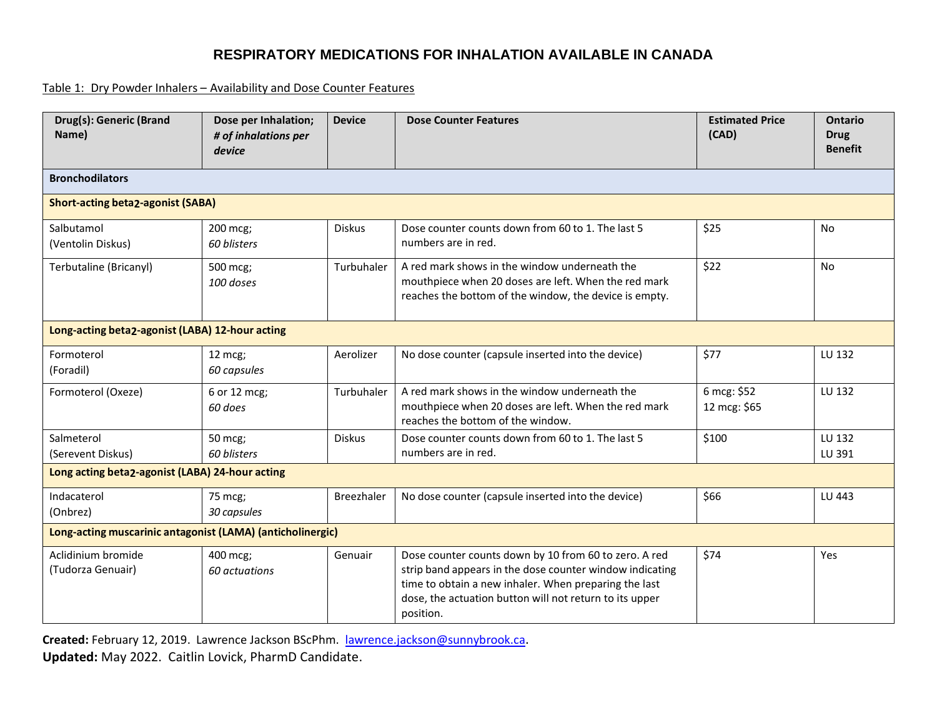#### Table 1: Dry Powder Inhalers – Availability and Dose Counter Features

| Drug(s): Generic (Brand<br>Name)                           | Dose per Inhalation;<br># of inhalations per<br>device | <b>Device</b>     | <b>Dose Counter Features</b>                                                                                                                                                                                                                       | <b>Estimated Price</b><br>(CAD) | <b>Ontario</b><br><b>Drug</b><br><b>Benefit</b> |  |  |  |
|------------------------------------------------------------|--------------------------------------------------------|-------------------|----------------------------------------------------------------------------------------------------------------------------------------------------------------------------------------------------------------------------------------------------|---------------------------------|-------------------------------------------------|--|--|--|
| <b>Bronchodilators</b>                                     |                                                        |                   |                                                                                                                                                                                                                                                    |                                 |                                                 |  |  |  |
| <b>Short-acting beta2-agonist (SABA)</b>                   |                                                        |                   |                                                                                                                                                                                                                                                    |                                 |                                                 |  |  |  |
| Salbutamol<br>(Ventolin Diskus)                            | 200 mcg;<br>60 blisters                                | <b>Diskus</b>     | Dose counter counts down from 60 to 1. The last 5<br>numbers are in red.                                                                                                                                                                           | \$25                            | No                                              |  |  |  |
| Terbutaline (Bricanyl)                                     | 500 mcg;<br>100 doses                                  | Turbuhaler        | A red mark shows in the window underneath the<br>mouthpiece when 20 doses are left. When the red mark<br>reaches the bottom of the window, the device is empty.                                                                                    | \$22                            | No                                              |  |  |  |
| Long-acting beta2-agonist (LABA) 12-hour acting            |                                                        |                   |                                                                                                                                                                                                                                                    |                                 |                                                 |  |  |  |
| Formoterol<br>(Foradil)                                    | $12 \text{ mcg}$<br>60 capsules                        | Aerolizer         | No dose counter (capsule inserted into the device)                                                                                                                                                                                                 | \$77                            | LU 132                                          |  |  |  |
| Formoterol (Oxeze)                                         | 6 or 12 mcg;<br>60 does                                | Turbuhaler        | A red mark shows in the window underneath the<br>mouthpiece when 20 doses are left. When the red mark<br>reaches the bottom of the window.                                                                                                         | 6 mcg: \$52<br>12 mcg: \$65     | LU 132                                          |  |  |  |
| Salmeterol<br>(Serevent Diskus)                            | 50 mcg;<br>60 blisters                                 | Diskus            | Dose counter counts down from 60 to 1. The last 5<br>numbers are in red.                                                                                                                                                                           | \$100                           | LU 132<br>LU 391                                |  |  |  |
| Long acting beta2-agonist (LABA) 24-hour acting            |                                                        |                   |                                                                                                                                                                                                                                                    |                                 |                                                 |  |  |  |
| Indacaterol<br>(Onbrez)                                    | 75 mcg;<br>30 capsules                                 | <b>Breezhaler</b> | No dose counter (capsule inserted into the device)                                                                                                                                                                                                 | \$66                            | LU 443                                          |  |  |  |
| Long-acting muscarinic antagonist (LAMA) (anticholinergic) |                                                        |                   |                                                                                                                                                                                                                                                    |                                 |                                                 |  |  |  |
| Aclidinium bromide<br>(Tudorza Genuair)                    | 400 mcg;<br>60 actuations                              | Genuair           | Dose counter counts down by 10 from 60 to zero. A red<br>strip band appears in the dose counter window indicating<br>time to obtain a new inhaler. When preparing the last<br>dose, the actuation button will not return to its upper<br>position. | \$74                            | Yes                                             |  |  |  |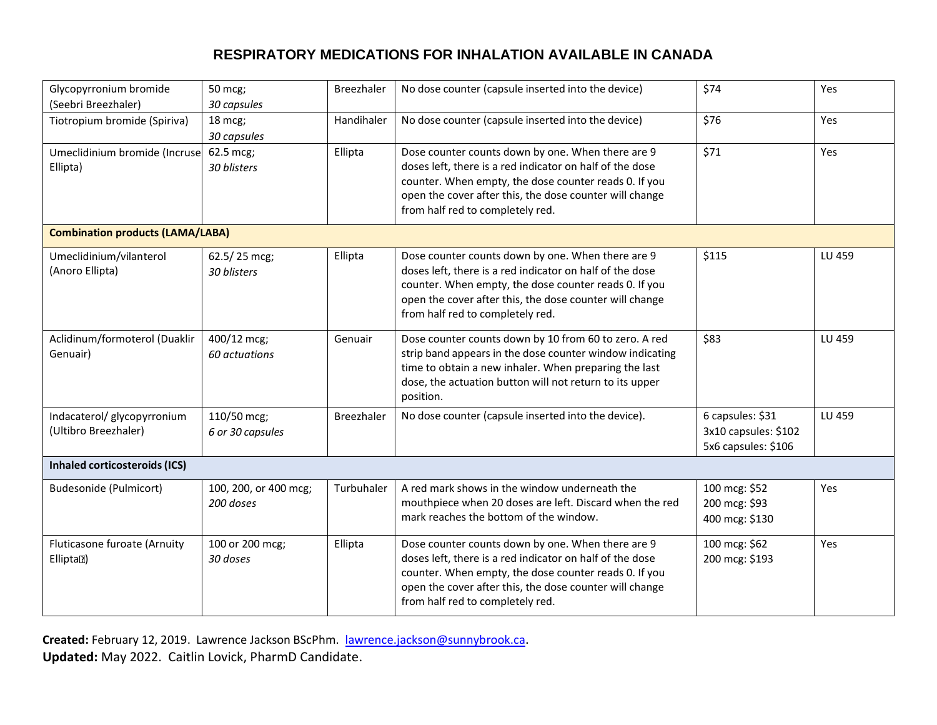| Glycopyrronium bromide<br>(Seebri Breezhaler)       | 50 mcg;<br>30 capsules             | Breezhaler | No dose counter (capsule inserted into the device)                                                                                                                                                                                                                    | \$74                                                            | Yes    |  |  |  |
|-----------------------------------------------------|------------------------------------|------------|-----------------------------------------------------------------------------------------------------------------------------------------------------------------------------------------------------------------------------------------------------------------------|-----------------------------------------------------------------|--------|--|--|--|
| Tiotropium bromide (Spiriva)                        | 18 mcg;<br>30 capsules             | Handihaler | No dose counter (capsule inserted into the device)                                                                                                                                                                                                                    | \$76                                                            | Yes    |  |  |  |
| Umeclidinium bromide (Incruse<br>Ellipta)           | 62.5 mcg;<br>30 blisters           | Ellipta    | Dose counter counts down by one. When there are 9<br>doses left, there is a red indicator on half of the dose<br>counter. When empty, the dose counter reads 0. If you<br>open the cover after this, the dose counter will change<br>from half red to completely red. | \$71                                                            | Yes    |  |  |  |
| <b>Combination products (LAMA/LABA)</b>             |                                    |            |                                                                                                                                                                                                                                                                       |                                                                 |        |  |  |  |
| Umeclidinium/vilanterol<br>(Anoro Ellipta)          | 62.5/25 mcg;<br>30 blisters        | Ellipta    | Dose counter counts down by one. When there are 9<br>doses left, there is a red indicator on half of the dose<br>counter. When empty, the dose counter reads 0. If you<br>open the cover after this, the dose counter will change<br>from half red to completely red. | \$115                                                           | LU 459 |  |  |  |
| Aclidinum/formoterol (Duaklir<br>Genuair)           | 400/12 mcg;<br>60 actuations       | Genuair    | Dose counter counts down by 10 from 60 to zero. A red<br>strip band appears in the dose counter window indicating<br>time to obtain a new inhaler. When preparing the last<br>dose, the actuation button will not return to its upper<br>position.                    | \$83                                                            | LU 459 |  |  |  |
| Indacaterol/ glycopyrronium<br>(Ultibro Breezhaler) | 110/50 mcg;<br>6 or 30 capsules    | Breezhaler | No dose counter (capsule inserted into the device).                                                                                                                                                                                                                   | 6 capsules: \$31<br>3x10 capsules: \$102<br>5x6 capsules: \$106 | LU 459 |  |  |  |
| <b>Inhaled corticosteroids (ICS)</b>                |                                    |            |                                                                                                                                                                                                                                                                       |                                                                 |        |  |  |  |
| Budesonide (Pulmicort)                              | 100, 200, or 400 mcg;<br>200 doses | Turbuhaler | A red mark shows in the window underneath the<br>mouthpiece when 20 doses are left. Discard when the red<br>mark reaches the bottom of the window.                                                                                                                    | 100 mcg: \$52<br>200 mcg: \$93<br>400 mcg: \$130                | Yes    |  |  |  |
| Fluticasone furoate (Arnuity<br>Elliptal)           | 100 or 200 mcg;<br>30 doses        | Ellipta    | Dose counter counts down by one. When there are 9<br>doses left, there is a red indicator on half of the dose<br>counter. When empty, the dose counter reads 0. If you<br>open the cover after this, the dose counter will change<br>from half red to completely red. | 100 mcg: \$62<br>200 mcg: \$193                                 | Yes    |  |  |  |

Created: February 12, 2019. Lawrence Jackson BScPhm. [lawrence.jackson@sunnybrook.ca](mailto:lawrence.jackson@sunnybrook.ca). **Updated:** May 2022. Caitlin Lovick, PharmD Candidate.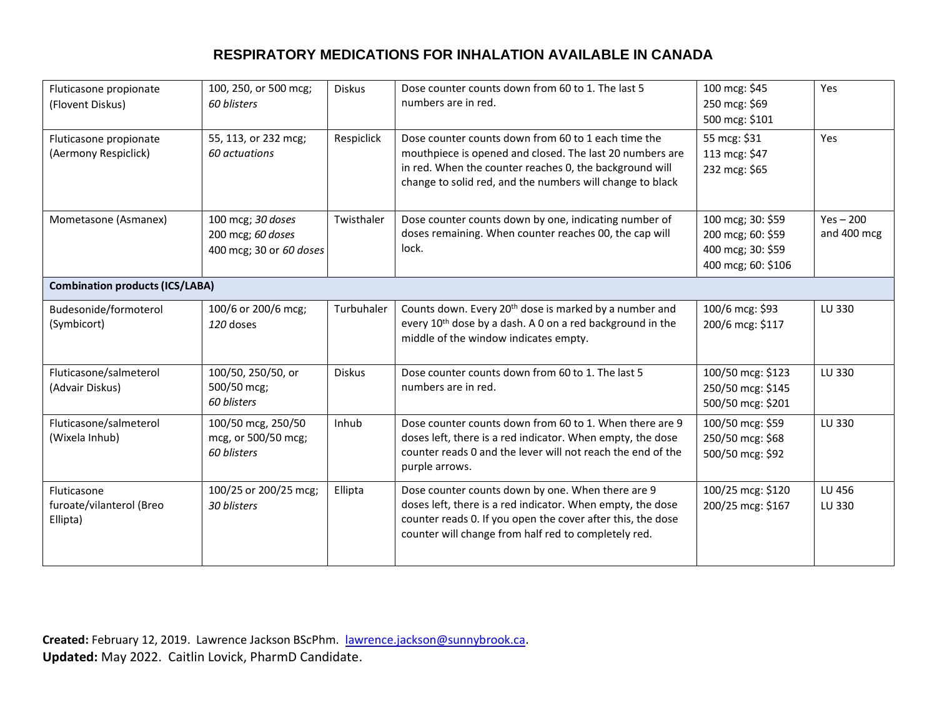| Fluticasone propionate<br>(Flovent Diskus)          | 100, 250, or 500 mcg;<br>60 blisters                              | <b>Diskus</b> | Dose counter counts down from 60 to 1. The last 5<br>numbers are in red.                                                                                                                                                                | 100 mcg: \$45<br>250 mcg: \$69<br>500 mcg: \$101                                  | Yes                        |  |
|-----------------------------------------------------|-------------------------------------------------------------------|---------------|-----------------------------------------------------------------------------------------------------------------------------------------------------------------------------------------------------------------------------------------|-----------------------------------------------------------------------------------|----------------------------|--|
| Fluticasone propionate<br>(Aermony Respiclick)      | 55, 113, or 232 mcg;<br>60 actuations                             | Respiclick    | Dose counter counts down from 60 to 1 each time the<br>mouthpiece is opened and closed. The last 20 numbers are<br>in red. When the counter reaches 0, the background will<br>change to solid red, and the numbers will change to black | 55 mcg: \$31<br>113 mcg: \$47<br>232 mcg: \$65                                    | Yes                        |  |
| Mometasone (Asmanex)                                | 100 mcg; 30 doses<br>200 mcg; 60 doses<br>400 mcg; 30 or 60 doses | Twisthaler    | Dose counter counts down by one, indicating number of<br>doses remaining. When counter reaches 00, the cap will<br>lock.                                                                                                                | 100 mcg; 30: \$59<br>200 mcg; 60: \$59<br>400 mcg; 30: \$59<br>400 mcg; 60: \$106 | $Yes - 200$<br>and 400 mcg |  |
| <b>Combination products (ICS/LABA)</b>              |                                                                   |               |                                                                                                                                                                                                                                         |                                                                                   |                            |  |
| Budesonide/formoterol<br>(Symbicort)                | 100/6 or 200/6 mcg;<br>120 doses                                  | Turbuhaler    | Counts down. Every 20 <sup>th</sup> dose is marked by a number and<br>every 10 <sup>th</sup> dose by a dash. A 0 on a red background in the<br>middle of the window indicates empty.                                                    | 100/6 mcg: \$93<br>200/6 mcg: \$117                                               | LU 330                     |  |
| Fluticasone/salmeterol<br>(Advair Diskus)           | 100/50, 250/50, or<br>500/50 mcg;<br>60 blisters                  | <b>Diskus</b> | Dose counter counts down from 60 to 1. The last 5<br>numbers are in red.                                                                                                                                                                | 100/50 mcg: \$123<br>250/50 mcg: \$145<br>500/50 mcg: \$201                       | LU 330                     |  |
| Fluticasone/salmeterol<br>(Wixela Inhub)            | 100/50 mcg, 250/50<br>mcg, or 500/50 mcg;<br>60 blisters          | Inhub         | Dose counter counts down from 60 to 1. When there are 9<br>doses left, there is a red indicator. When empty, the dose<br>counter reads 0 and the lever will not reach the end of the<br>purple arrows.                                  | 100/50 mcg: \$59<br>250/50 mcg: \$68<br>500/50 mcg: \$92                          | LU 330                     |  |
| Fluticasone<br>furoate/vilanterol (Breo<br>Ellipta) | 100/25 or 200/25 mcg;<br>30 blisters                              | Ellipta       | Dose counter counts down by one. When there are 9<br>doses left, there is a red indicator. When empty, the dose<br>counter reads 0. If you open the cover after this, the dose<br>counter will change from half red to completely red.  | 100/25 mcg: \$120<br>200/25 mcg: \$167                                            | LU 456<br>LU 330           |  |

Created: February 12, 2019. Lawrence Jackson BScPhm. [lawrence.jackson@sunnybrook.ca](mailto:lawrence.jackson@sunnybrook.ca). **Updated:** May 2022. Caitlin Lovick, PharmD Candidate.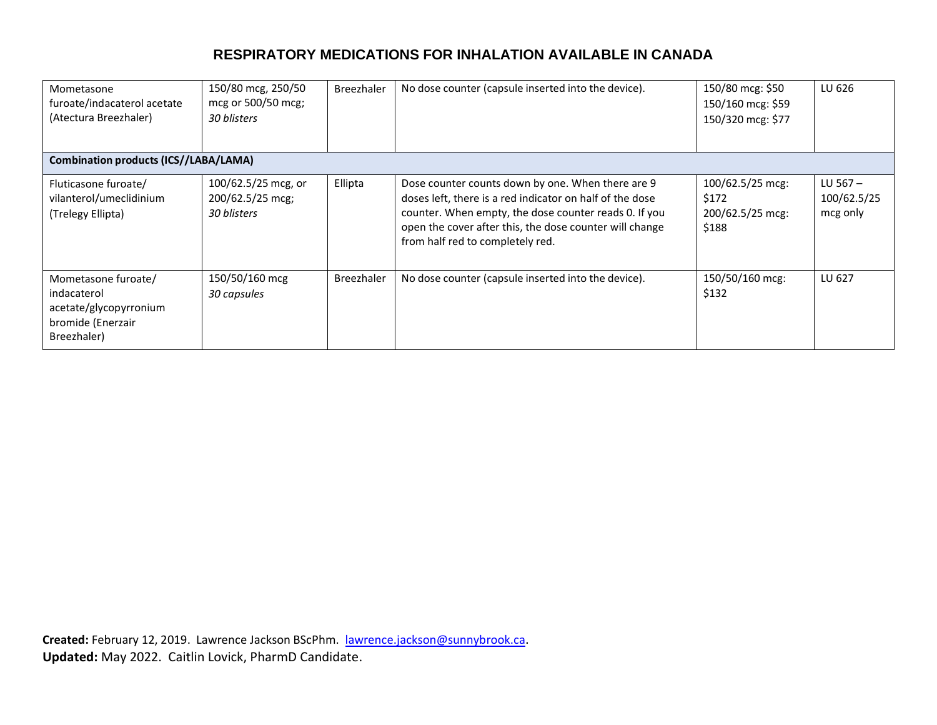| Mometasone<br>furoate/indacaterol acetate<br>(Atectura Breezhaler)                               | 150/80 mcg, 250/50<br>mcg or 500/50 mcg;<br>30 blisters | <b>Breezhaler</b> | No dose counter (capsule inserted into the device).                                                                                                                                                                                                                   | 150/80 mcg: \$50<br>150/160 mcg: \$59<br>150/320 mcg: \$77 | LU 626                                |
|--------------------------------------------------------------------------------------------------|---------------------------------------------------------|-------------------|-----------------------------------------------------------------------------------------------------------------------------------------------------------------------------------------------------------------------------------------------------------------------|------------------------------------------------------------|---------------------------------------|
| <b>Combination products (ICS//LABA/LAMA)</b>                                                     |                                                         |                   |                                                                                                                                                                                                                                                                       |                                                            |                                       |
| Fluticasone furoate/<br>vilanterol/umeclidinium<br>(Trelegy Ellipta)                             | 100/62.5/25 mcg, or<br>200/62.5/25 mcg;<br>30 blisters  | Ellipta           | Dose counter counts down by one. When there are 9<br>doses left, there is a red indicator on half of the dose<br>counter. When empty, the dose counter reads 0. If you<br>open the cover after this, the dose counter will change<br>from half red to completely red. | 100/62.5/25 mcg:<br>\$172<br>200/62.5/25 mcg:<br>\$188     | LU 567 $-$<br>100/62.5/25<br>mcg only |
| Mometasone furoate/<br>indacaterol<br>acetate/glycopyrronium<br>bromide (Enerzair<br>Breezhaler) | 150/50/160 mcg<br>30 capsules                           | <b>Breezhaler</b> | No dose counter (capsule inserted into the device).                                                                                                                                                                                                                   | 150/50/160 mcg:<br>\$132                                   | LU 627                                |

Created: February 12, 2019. Lawrence Jackson BScPhm. [lawrence.jackson@sunnybrook.ca](mailto:lawrence.jackson@sunnybrook.ca). **Updated:** May 2022. Caitlin Lovick, PharmD Candidate.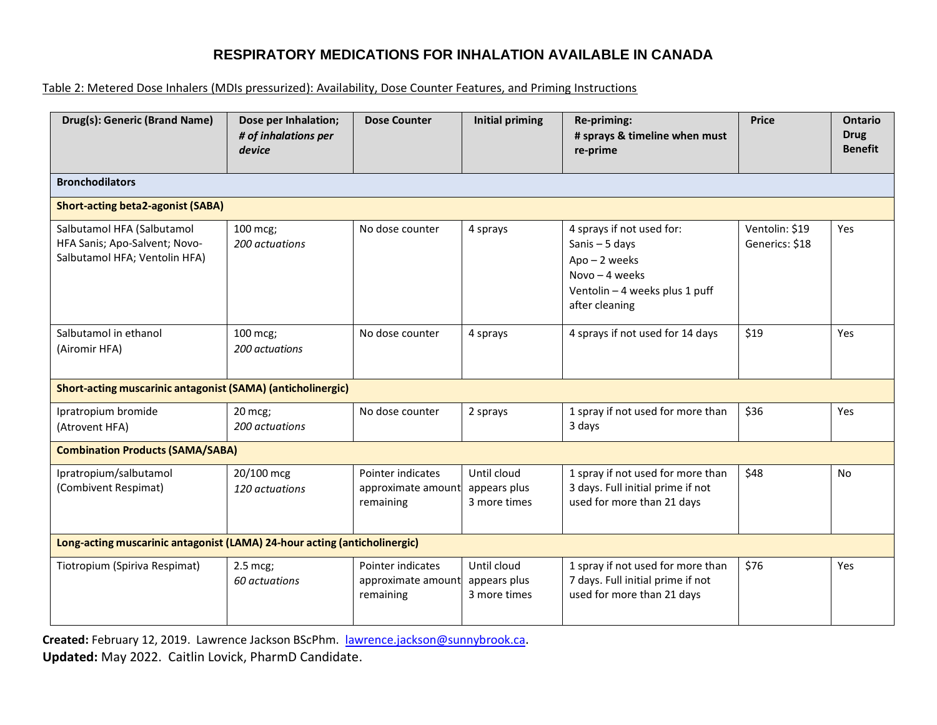#### Table 2: Metered Dose Inhalers (MDIs pressurized): Availability, Dose Counter Features, and Priming Instructions

| Drug(s): Generic (Brand Name)                                                                | Dose per Inhalation;<br># of inhalations per<br>device | <b>Dose Counter</b>                                  | <b>Initial priming</b>                      | Re-priming:<br># sprays & timeline when must<br>re-prime                                                                               | <b>Price</b>                     | <b>Ontario</b><br><b>Drug</b><br><b>Benefit</b> |  |  |
|----------------------------------------------------------------------------------------------|--------------------------------------------------------|------------------------------------------------------|---------------------------------------------|----------------------------------------------------------------------------------------------------------------------------------------|----------------------------------|-------------------------------------------------|--|--|
| <b>Bronchodilators</b>                                                                       |                                                        |                                                      |                                             |                                                                                                                                        |                                  |                                                 |  |  |
| <b>Short-acting beta2-agonist (SABA)</b>                                                     |                                                        |                                                      |                                             |                                                                                                                                        |                                  |                                                 |  |  |
| Salbutamol HFA (Salbutamol<br>HFA Sanis; Apo-Salvent; Novo-<br>Salbutamol HFA; Ventolin HFA) | 100 mcg;<br>200 actuations                             | No dose counter                                      | 4 sprays                                    | 4 sprays if not used for:<br>Sanis $-5$ days<br>$Apo - 2$ weeks<br>Novo $-4$ weeks<br>Ventolin - 4 weeks plus 1 puff<br>after cleaning | Ventolin: \$19<br>Generics: \$18 | Yes                                             |  |  |
| Salbutamol in ethanol<br>(Airomir HFA)                                                       | 100 mcg;<br>200 actuations                             | No dose counter                                      | 4 sprays                                    | 4 sprays if not used for 14 days                                                                                                       | \$19                             | Yes                                             |  |  |
| <b>Short-acting muscarinic antagonist (SAMA) (anticholinergic)</b>                           |                                                        |                                                      |                                             |                                                                                                                                        |                                  |                                                 |  |  |
| Ipratropium bromide<br>(Atrovent HFA)                                                        | 20 mcg;<br>200 actuations                              | No dose counter                                      | 2 sprays                                    | 1 spray if not used for more than<br>3 days                                                                                            | \$36                             | Yes                                             |  |  |
| <b>Combination Products (SAMA/SABA)</b>                                                      |                                                        |                                                      |                                             |                                                                                                                                        |                                  |                                                 |  |  |
| Ipratropium/salbutamol<br>(Combivent Respimat)                                               | 20/100 mcg<br>120 actuations                           | Pointer indicates<br>approximate amount<br>remaining | Until cloud<br>appears plus<br>3 more times | 1 spray if not used for more than<br>3 days. Full initial prime if not<br>used for more than 21 days                                   | \$48                             | No                                              |  |  |
| Long-acting muscarinic antagonist (LAMA) 24-hour acting (anticholinergic)                    |                                                        |                                                      |                                             |                                                                                                                                        |                                  |                                                 |  |  |
| Tiotropium (Spiriva Respimat)                                                                | 2.5 mcg;<br>60 actuations                              | Pointer indicates<br>approximate amount<br>remaining | Until cloud<br>appears plus<br>3 more times | 1 spray if not used for more than<br>7 days. Full initial prime if not<br>used for more than 21 days                                   | \$76                             | Yes                                             |  |  |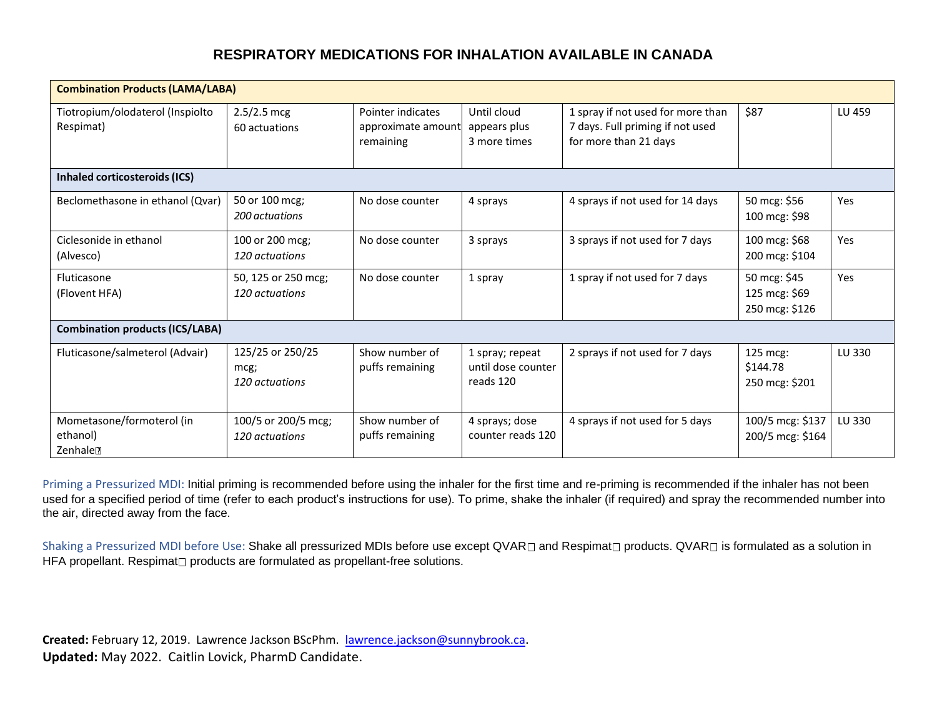| <b>Combination Products (LAMA/LABA)</b>                   |                                            |                                                      |                                                    |                                                                                                |                                                 |        |  |  |
|-----------------------------------------------------------|--------------------------------------------|------------------------------------------------------|----------------------------------------------------|------------------------------------------------------------------------------------------------|-------------------------------------------------|--------|--|--|
| Tiotropium/olodaterol (Inspiolto<br>Respimat)             | $2.5/2.5$ mcg<br>60 actuations             | Pointer indicates<br>approximate amount<br>remaining | Until cloud<br>appears plus<br>3 more times        | 1 spray if not used for more than<br>7 days. Full priming if not used<br>for more than 21 days | \$87                                            | LU 459 |  |  |
| Inhaled corticosteroids (ICS)                             |                                            |                                                      |                                                    |                                                                                                |                                                 |        |  |  |
| Beclomethasone in ethanol (Qvar)                          | 50 or 100 mcg;<br>200 actuations           | No dose counter                                      | 4 sprays                                           | 4 sprays if not used for 14 days                                                               | 50 mcg: \$56<br>100 mcg: \$98                   | Yes    |  |  |
| Ciclesonide in ethanol<br>(Alvesco)                       | 100 or 200 mcg;<br>120 actuations          | No dose counter                                      | 3 sprays                                           | 3 sprays if not used for 7 days                                                                | 100 mcg: \$68<br>200 mcg: \$104                 | Yes    |  |  |
| Fluticasone<br>(Flovent HFA)                              | 50, 125 or 250 mcg;<br>120 actuations      | No dose counter                                      | 1 spray                                            | 1 spray if not used for 7 days                                                                 | 50 mcg: \$45<br>125 mcg: \$69<br>250 mcg: \$126 | Yes    |  |  |
| <b>Combination products (ICS/LABA)</b>                    |                                            |                                                      |                                                    |                                                                                                |                                                 |        |  |  |
| Fluticasone/salmeterol (Advair)                           | 125/25 or 250/25<br>mcg;<br>120 actuations | Show number of<br>puffs remaining                    | 1 spray; repeat<br>until dose counter<br>reads 120 | 2 sprays if not used for 7 days                                                                | 125 mcg:<br>\$144.78<br>250 mcg: \$201          | LU 330 |  |  |
| Mometasone/formoterol (in<br>ethanol)<br>Zenhale <b>D</b> | 100/5 or 200/5 mcg;<br>120 actuations      | Show number of<br>puffs remaining                    | 4 sprays; dose<br>counter reads 120                | 4 sprays if not used for 5 days                                                                | 100/5 mcg: \$137<br>200/5 mcg: \$164            | LU 330 |  |  |

Priming a Pressurized MDI: Initial priming is recommended before using the inhaler for the first time and re-priming is recommended if the inhaler has not been used for a specified period of time (refer to each product's instructions for use). To prime, shake the inhaler (if required) and spray the recommended number into the air, directed away from the face.

Shaking a Pressurized MDI before Use: Shake all pressurized MDIs before use except QVAR and Respimat products. QVAR is formulated as a solution in HFA propellant. Respimat

not products are formulated as propellant-free solutions.